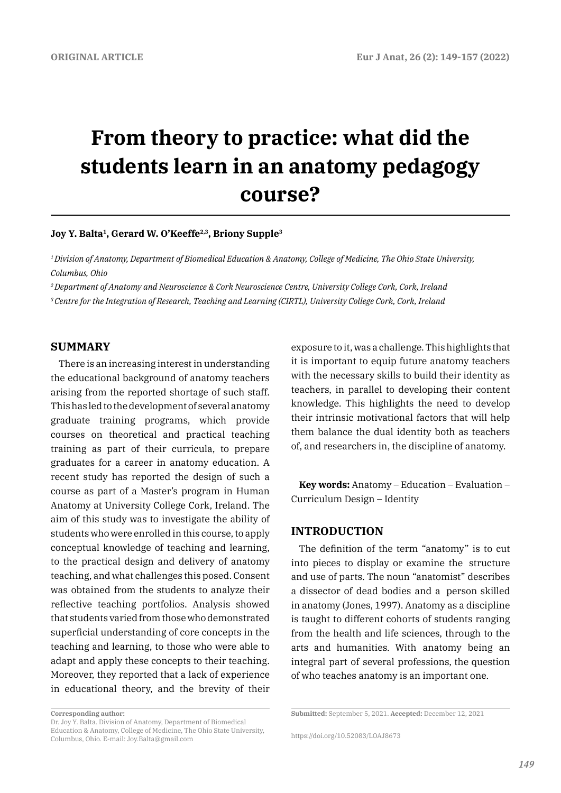# **From theory to practice: what did the students learn in an anatomy pedagogy course?**

# **Joy Y. Balta1, Gerard W. O'Keeffe2,3, Briony Supple3**

*1 Division of Anatomy, Department of Biomedical Education & Anatomy, College of Medicine, The Ohio State University, Columbus, Ohio*

*2 Department of Anatomy and Neuroscience & Cork Neuroscience Centre, University College Cork, Cork, Ireland*

*3 Centre for the Integration of Research, Teaching and Learning (CIRTL), University College Cork, Cork, Ireland*

### **SUMMARY**

There is an increasing interest in understanding the educational background of anatomy teachers arising from the reported shortage of such staff. This has led to the development of several anatomy graduate training programs, which provide courses on theoretical and practical teaching training as part of their curricula, to prepare graduates for a career in anatomy education. A recent study has reported the design of such a course as part of a Master's program in Human Anatomy at University College Cork, Ireland. The aim of this study was to investigate the ability of students who were enrolled in this course, to apply conceptual knowledge of teaching and learning, to the practical design and delivery of anatomy teaching, and what challenges this posed. Consent was obtained from the students to analyze their reflective teaching portfolios. Analysis showed that students varied from those who demonstrated superficial understanding of core concepts in the teaching and learning, to those who were able to adapt and apply these concepts to their teaching. Moreover, they reported that a lack of experience in educational theory, and the brevity of their exposure to it, was a challenge. This highlights that

**Key words:** Anatomy – Education – Evaluation – Curriculum Design – Identity

# **INTRODUCTION**

The definition of the term "anatomy" is to cut into pieces to display or examine the structure and use of parts. The noun "anatomist" describes a dissector of dead bodies and a person skilled in anatomy (Jones, 1997). Anatomy as a discipline is taught to different cohorts of students ranging from the health and life sciences, through to the arts and humanities. With anatomy being an integral part of several professions, the question of who teaches anatomy is an important one.

it is important to equip future anatomy teachers with the necessary skills to build their identity as teachers, in parallel to developing their content knowledge. This highlights the need to develop their intrinsic motivational factors that will help them balance the dual identity both as teachers of, and researchers in, the discipline of anatomy.

**Corresponding author:** 

Dr. Joy Y. Balta. Division of Anatomy, Department of Biomedical Education & Anatomy, College of Medicine, The Ohio State University, Columbus, Ohio. E-mail: Joy.Balta@gmail.com

**Submitted:** September 5, 2021. **Accepted:** December 12, 2021

https://doi.org/10.52083/LOAJ8673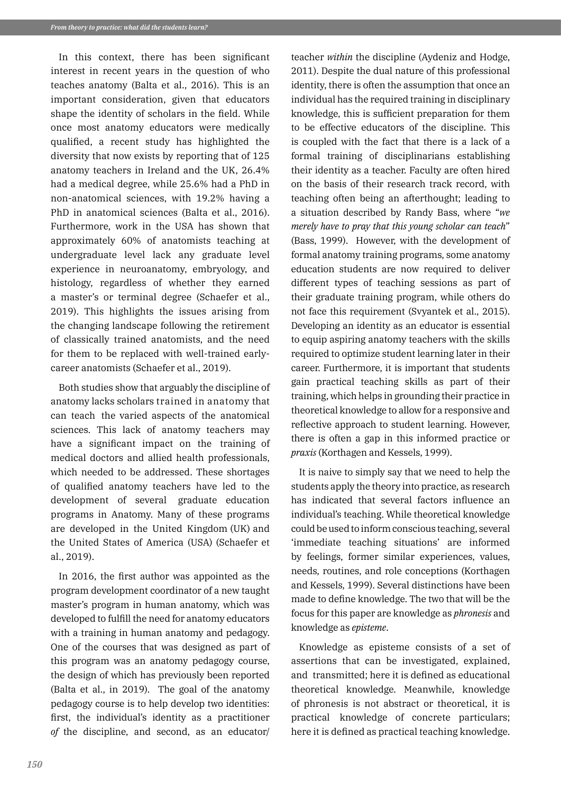In this context, there has been significant interest in recent years in the question of who teaches anatomy (Balta et al., 2016). This is an important consideration, given that educators shape the identity of scholars in the field. While once most anatomy educators were medically qualified, a recent study has highlighted the diversity that now exists by reporting that of 125 anatomy teachers in Ireland and the UK, 26.4% had a medical degree, while 25.6% had a PhD in non-anatomical sciences, with 19.2% having a PhD in anatomical sciences (Balta et al., 2016). Furthermore, work in the USA has shown that approximately 60% of anatomists teaching at undergraduate level lack any graduate level experience in neuroanatomy, embryology, and histology, regardless of whether they earned a master's or terminal degree (Schaefer et al., 2019). This highlights the issues arising from the changing landscape following the retirement of classically trained anatomists, and the need for them to be replaced with well-trained earlycareer anatomists (Schaefer et al., 2019).

Both studies show that arguably the discipline of anatomy lacks scholars trained in anatomy that can teach the varied aspects of the anatomical sciences. This lack of anatomy teachers may have a significant impact on the training of medical doctors and allied health professionals, which needed to be addressed. These shortages of qualified anatomy teachers have led to the development of several graduate education programs in Anatomy. Many of these programs are developed in the United Kingdom (UK) and the United States of America (USA) (Schaefer et al., 2019).

In 2016, the first author was appointed as the program development coordinator of a new taught master's program in human anatomy, which was developed to fulfill the need for anatomy educators with a training in human anatomy and pedagogy. One of the courses that was designed as part of this program was an anatomy pedagogy course, the design of which has previously been reported (Balta et al., in 2019). The goal of the anatomy pedagogy course is to help develop two identities: first, the individual's identity as a practitioner *of* the discipline, and second, as an educator/

teacher *within* the discipline (Aydeniz and Hodge, 2011). Despite the dual nature of this professional identity, there is often the assumption that once an individual has the required training in disciplinary knowledge, this is sufficient preparation for them to be effective educators of the discipline. This is coupled with the fact that there is a lack of a formal training of disciplinarians establishing their identity as a teacher. Faculty are often hired on the basis of their research track record, with teaching often being an afterthought; leading to a situation described by Randy Bass, where "*we merely have to pray that this young scholar can teach*" (Bass, 1999). However, with the development of formal anatomy training programs, some anatomy education students are now required to deliver different types of teaching sessions as part of their graduate training program, while others do not face this requirement (Svyantek et al., 2015). Developing an identity as an educator is essential to equip aspiring anatomy teachers with the skills required to optimize student learning later in their career. Furthermore, it is important that students gain practical teaching skills as part of their training, which helps in grounding their practice in theoretical knowledge to allow for a responsive and reflective approach to student learning. However, there is often a gap in this informed practice or *praxis* (Korthagen and Kessels, 1999).

It is naive to simply say that we need to help the students apply the theory into practice, as research has indicated that several factors influence an individual's teaching. While theoretical knowledge could be used to inform conscious teaching, several 'immediate teaching situations' are informed by feelings, former similar experiences, values, needs, routines, and role conceptions (Korthagen and Kessels, 1999). Several distinctions have been made to define knowledge. The two that will be the focus for this paper are knowledge as *phronesis* and knowledge as *episteme*.

Knowledge as episteme consists of a set of assertions that can be investigated, explained, and transmitted; here it is defined as educational theoretical knowledge. Meanwhile, knowledge of phronesis is not abstract or theoretical, it is practical knowledge of concrete particulars; here it is defined as practical teaching knowledge.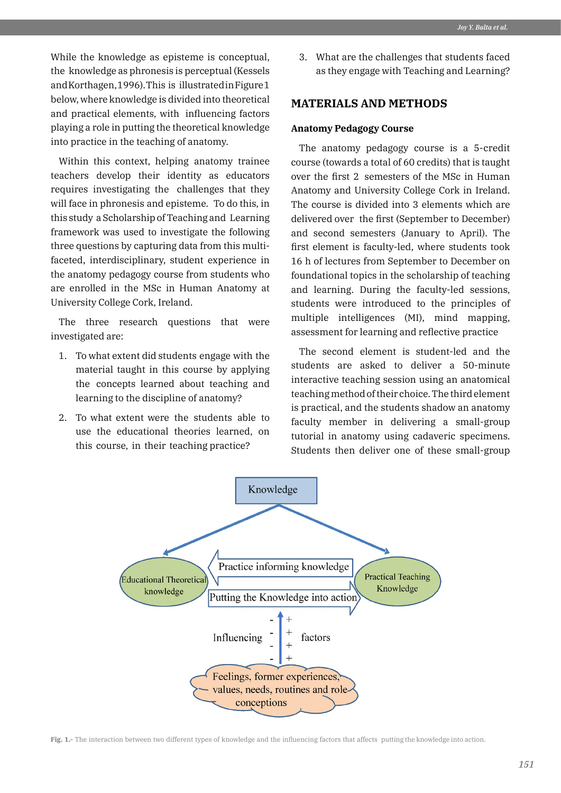While the knowledge as episteme is conceptual, the knowledge as phronesis is perceptual (Kessels and Korthagen, 1996). This is illustrated in Figure 1 below, where knowledge is divided into theoretical and practical elements, with influencing factors playing a role in putting the theoretical knowledge into practice in the teaching of anatomy.

Within this context, helping anatomy trainee teachers develop their identity as educators requires investigating the challenges that they will face in phronesis and episteme. To do this, in this study a Scholarship of Teaching and Learning framework was used to investigate the following three questions by capturing data from this multifaceted, interdisciplinary, student experience in the anatomy pedagogy course from students who are enrolled in the MSc in Human Anatomy at University College Cork, Ireland.

The three research questions that were investigated are:

- 1. To what extent did students engage with the material taught in this course by applying the concepts learned about teaching and learning to the discipline of anatomy?
- 2. To what extent were the students able to use the educational theories learned, on this course, in their teaching practice?

3. What are the challenges that students faced as they engage with Teaching and Learning?

# **MATERIALS AND METHODS**

#### **Anatomy Pedagogy Course**

The anatomy pedagogy course is a 5-credit course (towards a total of 60 credits) that is taught over the first 2 semesters of the MSc in Human Anatomy and University College Cork in Ireland. The course is divided into 3 elements which are delivered over the first (September to December) and second semesters (January to April). The first element is faculty-led, where students took 16 h of lectures from September to December on foundational topics in the scholarship of teaching and learning. During the faculty-led sessions, students were introduced to the principles of multiple intelligences (MI), mind mapping, assessment for learning and reflective practice

The second element is student-led and the students are asked to deliver a 50-minute interactive teaching session using an anatomical teaching method of their choice. The third element is practical, and the students shadow an anatomy faculty member in delivering a small-group tutorial in anatomy using cadaveric specimens. Students then deliver one of these small-group



**Fig. 1.-** The interaction between two different types of knowledge and the influencing factors that affects putting the knowledge into action.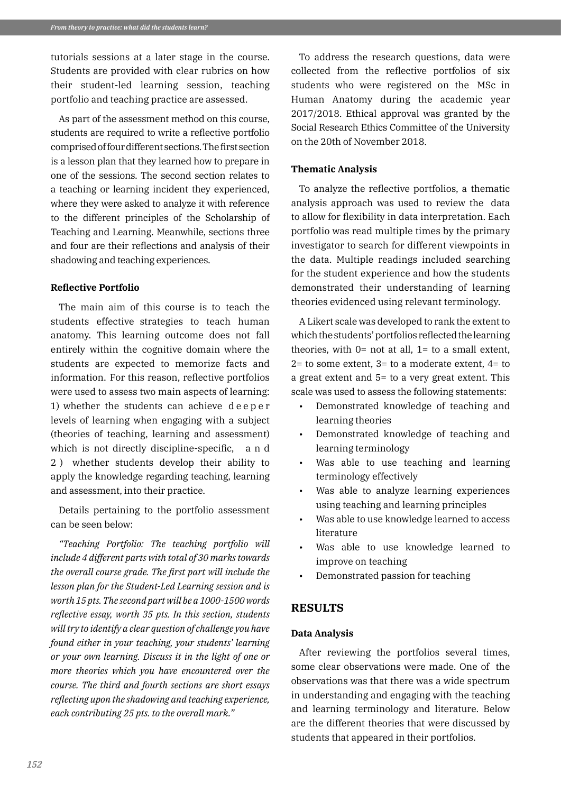tutorials sessions at a later stage in the course. Students are provided with clear rubrics on how their student-led learning session, teaching portfolio and teaching practice are assessed.

As part of the assessment method on this course, students are required to write a reflective portfolio comprised of four different sections. The first section is a lesson plan that they learned how to prepare in one of the sessions. The second section relates to a teaching or learning incident they experienced, where they were asked to analyze it with reference to the different principles of the Scholarship of Teaching and Learning. Meanwhile, sections three and four are their reflections and analysis of their shadowing and teaching experiences.

# **Reflective Portfolio**

The main aim of this course is to teach the students effective strategies to teach human anatomy. This learning outcome does not fall entirely within the cognitive domain where the students are expected to memorize facts and information. For this reason, reflective portfolios were used to assess two main aspects of learning: 1) whether the students can achieve d e e p e r levels of learning when engaging with a subject (theories of teaching, learning and assessment) which is not directly discipline-specific, a n d 2 ) whether students develop their ability to apply the knowledge regarding teaching, learning and assessment, into their practice.

Details pertaining to the portfolio assessment can be seen below:

*"Teaching Portfolio: The teaching portfolio will include 4 different parts with total of 30 marks towards the overall course grade. The first part will include the lesson plan for the Student-Led Learning session and is worth 15 pts. The second part will be a 1000-1500 words reflective essay, worth 35 pts. In this section, students will try to identify a clear question of challenge you have found either in your teaching, your students' learning or your own learning. Discuss it in the light of one or more theories which you have encountered over the course. The third and fourth sections are short essays reflecting upon the shadowing and teaching experience, each contributing 25 pts. to the overall mark."*

To address the research questions, data were collected from the reflective portfolios of six students who were registered on the MSc in Human Anatomy during the academic year 2017/2018. Ethical approval was granted by the Social Research Ethics Committee of the University on the 20th of November 2018.

### **Thematic Analysis**

To analyze the reflective portfolios, a thematic analysis approach was used to review the data to allow for flexibility in data interpretation. Each portfolio was read multiple times by the primary investigator to search for different viewpoints in the data. Multiple readings included searching for the student experience and how the students demonstrated their understanding of learning theories evidenced using relevant terminology.

A Likert scale was developed to rank the extent to which the students' portfolios reflected the learning theories, with  $0=$  not at all,  $1=$  to a small extent,  $2=$  to some extent,  $3=$  to a moderate extent,  $4=$  to a great extent and 5= to a very great extent. This scale was used to assess the following statements:

- Demonstrated knowledge of teaching and learning theories
- Demonstrated knowledge of teaching and learning terminology
- Was able to use teaching and learning terminology effectively
- Was able to analyze learning experiences using teaching and learning principles
- Was able to use knowledge learned to access literature
- Was able to use knowledge learned to improve on teaching
- Demonstrated passion for teaching

### **RESULTS**

#### **Data Analysis**

After reviewing the portfolios several times, some clear observations were made. One of the observations was that there was a wide spectrum in understanding and engaging with the teaching and learning terminology and literature. Below are the different theories that were discussed by students that appeared in their portfolios.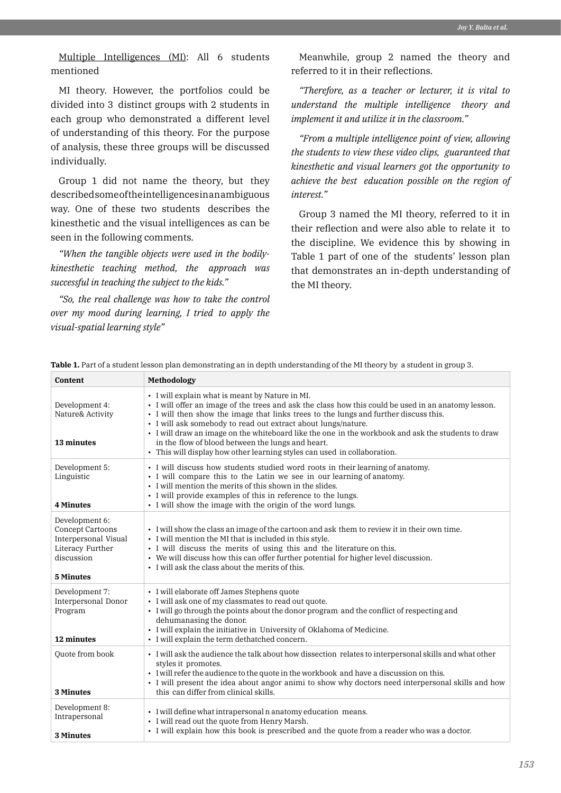Multiple Intelligences (MI): All 6 students mentioned

MI theory. However, the portfolios could be divided into 3 distinct groups with 2 students in each group who demonstrated a different level of understanding of this theory. For the purpose of analysis, these three groups will be discussed individually.

Group 1 did not name the theory, but they described some of the intelligences in an ambiguous way. One of these two students describes the kinesthetic and the visual intelligences as can be seen in the following comments.

*"When the tangible objects were used in the bodilykinesthetic teaching method, the approach was successful in teaching the subject to the kids."*

*"So, the real challenge was how to take the control over my mood during learning, I tried to apply the visual-spatial learning style"*

Meanwhile, group 2 named the theory and referred to it in their reflections.

*"Therefore, as a teacher or lecturer, it is vital to understand the multiple intelligence theory and implement it and utilize it in the classroom."*

*"From a multiple intelligence point of view, allowing the students to view these video clips, guaranteed that kinesthetic and visual learners got the opportunity to achieve the best education possible on the region of interest."*

Group 3 named the MI theory, referred to it in their reflection and were also able to relate it to the discipline. We evidence this by showing in Table 1 part of one of the students' lesson plan that demonstrates an in-depth understanding of the MI theory.

| Content                                                                                                          | Methodology                                                                                                                                                                                                                                                                                                                                                                                                                                                                                                                                            |
|------------------------------------------------------------------------------------------------------------------|--------------------------------------------------------------------------------------------------------------------------------------------------------------------------------------------------------------------------------------------------------------------------------------------------------------------------------------------------------------------------------------------------------------------------------------------------------------------------------------------------------------------------------------------------------|
| Development 4:<br>Nature& Activity<br>13 minutes                                                                 | • I will explain what is meant by Nature in MI.<br>• I will offer an image of the trees and ask the class how this could be used in an anatomy lesson.<br>• I will then show the image that links trees to the lungs and further discuss this.<br>• I will ask somebody to read out extract about lungs/nature.<br>• I will draw an image on the whiteboard like the one in the workbook and ask the students to draw<br>in the flow of blood between the lungs and heart.<br>• This will display how other learning styles can used in collaboration. |
| Development 5:<br>Linguistic<br><b>4 Minutes</b>                                                                 | • I will discuss how students studied word roots in their learning of anatomy.<br>• I will compare this to the Latin we see in our learning of anatomy.<br>• I will mention the merits of this shown in the slides.<br>• I will provide examples of this in reference to the lungs.<br>• I will show the image with the origin of the word lungs.                                                                                                                                                                                                      |
| Development 6:<br><b>Concept Cartoons</b><br>Interpersonal Visual<br>Literacy Further<br>discussion<br>5 Minutes | . I will show the class an image of the cartoon and ask them to review it in their own time.<br>• I will mention the MI that is included in this style.<br>• I will discuss the merits of using this and the literature on this.<br>• We will discuss how this can offer further potential for higher level discussion.<br>• I will ask the class about the merits of this.                                                                                                                                                                            |
| Development 7:<br>Interpersonal Donor<br>Program<br>12 minutes                                                   | • I will elaborate off James Stephens quote<br>• I will ask one of my classmates to read out quote.<br>• I will go through the points about the donor program and the conflict of respecting and<br>dehumanasing the donor.<br>• I will explain the initiative in University of Oklahoma of Medicine.<br>• I will explain the term dethatched concern.                                                                                                                                                                                                 |
| Ouote from book<br>3 Minutes                                                                                     | • I will ask the audience the talk about how dissection relates to interpersonal skills and what other<br>styles it promotes.<br>• I will refer the audience to the quote in the workbook and have a discussion on this.<br>• I will present the idea about angor animi to show why doctors need interpersonal skills and how<br>this can differ from clinical skills.                                                                                                                                                                                 |
| Development 8:<br>Intrapersonal<br>3 Minutes                                                                     | • I will define what intrapersonal n anatomy education means.<br>• I will read out the quote from Henry Marsh.<br>• I will explain how this book is prescribed and the quote from a reader who was a doctor.                                                                                                                                                                                                                                                                                                                                           |

**Table 1.** Part of a student lesson plan demonstrating an in depth understanding of the MI theory by a student in group 3.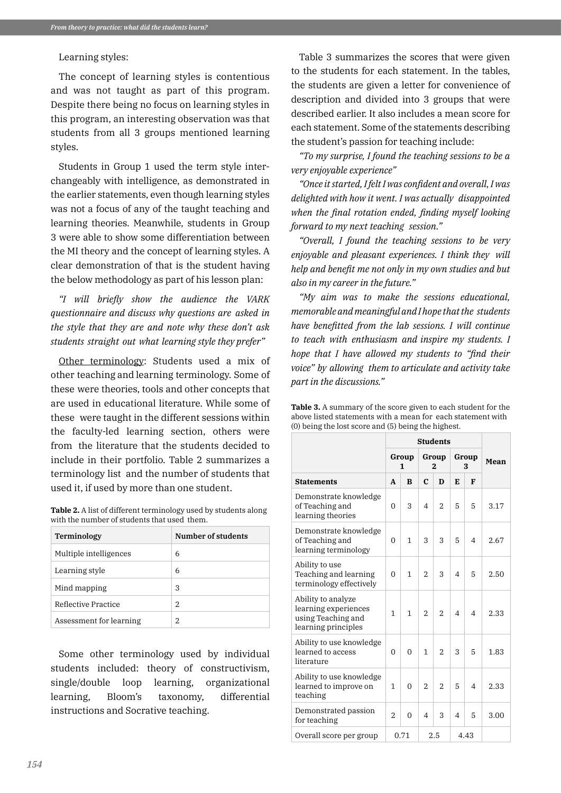#### Learning styles:

The concept of learning styles is contentious and was not taught as part of this program. Despite there being no focus on learning styles in this program, an interesting observation was that students from all 3 groups mentioned learning styles.

Students in Group 1 used the term style interchangeably with intelligence, as demonstrated in the earlier statements, even though learning styles was not a focus of any of the taught teaching and learning theories. Meanwhile, students in Group 3 were able to show some differentiation between the MI theory and the concept of learning styles. A clear demonstration of that is the student having the below methodology as part of his lesson plan:

*"I will briefly show the audience the VARK questionnaire and discuss why questions are asked in the style that they are and note why these don't ask students straight out what learning style they prefer"*

Other terminology: Students used a mix of other teaching and learning terminology. Some of these were theories, tools and other concepts that are used in educational literature. While some of these were taught in the different sessions within the faculty-led learning section, others were from the literature that the students decided to include in their portfolio. Table 2 summarizes a terminology list and the number of students that used it, if used by more than one student.

**Table 2.** A list of different terminology used by students along with the number of students that used them.

| Terminology             | Number of students |  |  |  |  |
|-------------------------|--------------------|--|--|--|--|
| Multiple intelligences  | 6                  |  |  |  |  |
| Learning style          | 6                  |  |  |  |  |
| Mind mapping            | 3                  |  |  |  |  |
| Reflective Practice     | $\mathfrak{D}$     |  |  |  |  |
| Assessment for learning | 2                  |  |  |  |  |

Some other terminology used by individual students included: theory of constructivism, single/double loop learning, organizational learning, Bloom's taxonomy, differential instructions and Socrative teaching.

Table 3 summarizes the scores that were given to the students for each statement. In the tables, the students are given a letter for convenience of description and divided into 3 groups that were described earlier. It also includes a mean score for each statement. Some of the statements describing the student's passion for teaching include:

*"To my surprise, I found the teaching sessions to be a very enjoyable experience"*

*"Once it started, I felt I was confident and overall, I was delighted with how it went. I was actually disappointed when the final rotation ended, finding myself looking forward to my next teaching session."*

*"Overall, I found the teaching sessions to be very enjoyable and pleasant experiences. I think they will help and benefit me not only in my own studies and but also in my career in the future."*

*"My aim was to make the sessions educational, memorable and meaningful and I hope that the students have benefitted from the lab sessions. I will continue to teach with enthusiasm and inspire my students. I hope that I have allowed my students to "find their voice" by allowing them to articulate and activity take part in the discussions."*

| <b>Table 3.</b> A summary of the score given to each student for the |
|----------------------------------------------------------------------|
| above listed statements with a mean for each statement with          |
| (0) being the lost score and (5) being the highest.                  |

|                                                                                         | <b>Students</b> |          |                         |                |                |                |      |
|-----------------------------------------------------------------------------------------|-----------------|----------|-------------------------|----------------|----------------|----------------|------|
|                                                                                         | Group<br>1      |          | Group<br>$\overline{2}$ |                | Group<br>3     |                | Mean |
| <b>Statements</b>                                                                       |                 | B        | $\mathbf{C}$            | D              | Е              | F              |      |
| Demonstrate knowledge<br>of Teaching and<br>learning theories                           |                 | 3        | $\overline{4}$          | $\overline{2}$ | 5              | 5              | 3.17 |
| Demonstrate knowledge<br>of Teaching and<br>learning terminology                        |                 | 1        | 3                       | 3              | 5              | 4              | 2.67 |
| Ability to use<br>Teaching and learning<br>terminology effectively                      |                 | 1        | $\mathfrak{D}$          | 3              | $\overline{4}$ | 5              | 2.50 |
| Ability to analyze<br>learning experiences<br>using Teaching and<br>learning principles |                 | 1        | $\mathfrak{D}$          | $\mathfrak{D}$ | $\overline{4}$ | 4              | 2.33 |
| Ability to use knowledge<br>learned to access<br>literature                             |                 | $\Omega$ | $\mathbf{1}$            | $\mathfrak{D}$ | 3              | 5              | 1.83 |
| Ability to use knowledge<br>learned to improve on<br>teaching                           |                 | $\Omega$ | $\mathfrak{D}$          | $\mathfrak{D}$ | 5              | $\overline{4}$ | 2.33 |
| Demonstrated passion<br>for teaching                                                    |                 | $\Omega$ | 4                       | 3              | 4              | 5              | 3.00 |
| Overall score per group                                                                 |                 | 0.71     |                         | 2.5            |                | 4.43           |      |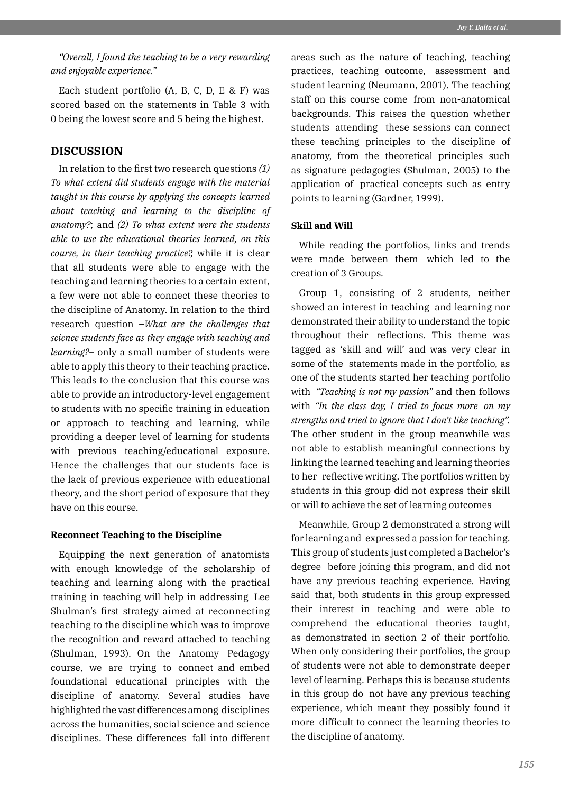*"Overall, I found the teaching to be a very rewarding and enjoyable experience."*

Each student portfolio (A, B, C, D, E & F) was scored based on the statements in Table 3 with 0 being the lowest score and 5 being the highest.

# **DISCUSSION**

In relation to the first two research questions *(1) To what extent did students engage with the material taught in this course by applying the concepts learned about teaching and learning to the discipline of anatomy?*; and *(2) To what extent were the students able to use the educational theories learned, on this course, in their teaching practice?,* while it is clear that all students were able to engage with the teaching and learning theories to a certain extent, a few were not able to connect these theories to the discipline of Anatomy. In relation to the third research question –*What are the challenges that science students face as they engage with teaching and learning?–* only a small number of students were able to apply this theory to their teaching practice. This leads to the conclusion that this course was able to provide an introductory-level engagement to students with no specific training in education or approach to teaching and learning, while providing a deeper level of learning for students with previous teaching/educational exposure. Hence the challenges that our students face is the lack of previous experience with educational theory, and the short period of exposure that they have on this course.

#### **Reconnect Teaching to the Discipline**

Equipping the next generation of anatomists with enough knowledge of the scholarship of teaching and learning along with the practical training in teaching will help in addressing Lee Shulman's first strategy aimed at reconnecting teaching to the discipline which was to improve the recognition and reward attached to teaching (Shulman, 1993). On the Anatomy Pedagogy course, we are trying to connect and embed foundational educational principles with the discipline of anatomy. Several studies have highlighted the vast differences among disciplines across the humanities, social science and science disciplines. These differences fall into different areas such as the nature of teaching, teaching practices, teaching outcome, assessment and student learning (Neumann, 2001). The teaching staff on this course come from non-anatomical backgrounds. This raises the question whether students attending these sessions can connect these teaching principles to the discipline of anatomy, from the theoretical principles such as signature pedagogies (Shulman, 2005) to the application of practical concepts such as entry points to learning (Gardner, 1999).

## **Skill and Will**

While reading the portfolios, links and trends were made between them which led to the creation of 3 Groups.

Group 1, consisting of 2 students, neither showed an interest in teaching and learning nor demonstrated their ability to understand the topic throughout their reflections. This theme was tagged as 'skill and will' and was very clear in some of the statements made in the portfolio, as one of the students started her teaching portfolio with *"Teaching is not my passion"* and then follows with *"In the class day, I tried to focus more on my strengths and tried to ignore that I don't like teaching".*  The other student in the group meanwhile was not able to establish meaningful connections by linking the learned teaching and learning theories to her reflective writing. The portfolios written by students in this group did not express their skill or will to achieve the set of learning outcomes

Meanwhile, Group 2 demonstrated a strong will for learning and expressed a passion for teaching. This group of students just completed a Bachelor's degree before joining this program, and did not have any previous teaching experience. Having said that, both students in this group expressed their interest in teaching and were able to comprehend the educational theories taught, as demonstrated in section 2 of their portfolio. When only considering their portfolios, the group of students were not able to demonstrate deeper level of learning. Perhaps this is because students in this group do not have any previous teaching experience, which meant they possibly found it more difficult to connect the learning theories to the discipline of anatomy.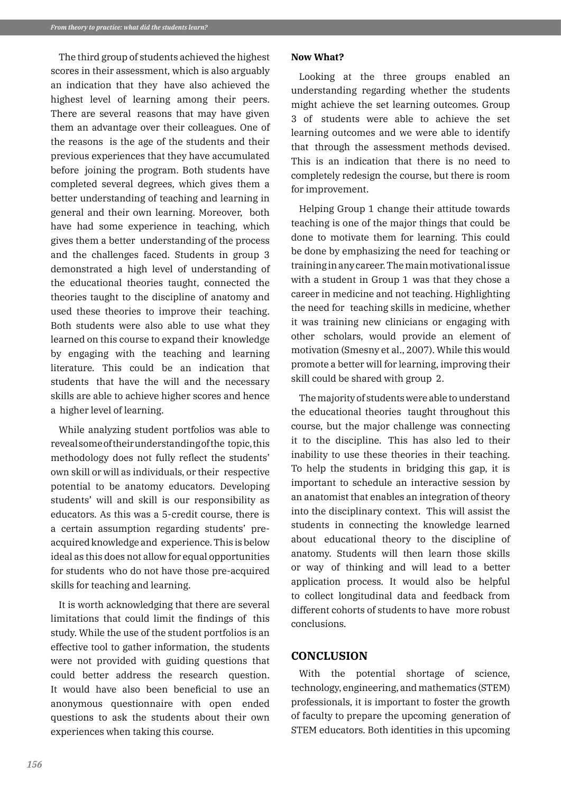The third group of students achieved the highest scores in their assessment, which is also arguably an indication that they have also achieved the highest level of learning among their peers. There are several reasons that may have given them an advantage over their colleagues. One of the reasons is the age of the students and their previous experiences that they have accumulated before joining the program. Both students have completed several degrees, which gives them a better understanding of teaching and learning in general and their own learning. Moreover, both have had some experience in teaching, which gives them a better understanding of the process and the challenges faced. Students in group 3 demonstrated a high level of understanding of the educational theories taught, connected the theories taught to the discipline of anatomy and used these theories to improve their teaching. Both students were also able to use what they learned on this course to expand their knowledge by engaging with the teaching and learning literature. This could be an indication that students that have the will and the necessary skills are able to achieve higher scores and hence a higher level of learning.

While analyzing student portfolios was able to reveal some of their understanding of the topic, this methodology does not fully reflect the students' own skill or will as individuals, or their respective potential to be anatomy educators. Developing students' will and skill is our responsibility as educators. As this was a 5-credit course, there is a certain assumption regarding students' preacquired knowledge and experience. This is below ideal as this does not allow for equal opportunities for students who do not have those pre-acquired skills for teaching and learning.

It is worth acknowledging that there are several limitations that could limit the findings of this study. While the use of the student portfolios is an effective tool to gather information, the students were not provided with guiding questions that could better address the research question. It would have also been beneficial to use an anonymous questionnaire with open ended questions to ask the students about their own experiences when taking this course.

#### **Now What?**

Looking at the three groups enabled an understanding regarding whether the students might achieve the set learning outcomes. Group 3 of students were able to achieve the set learning outcomes and we were able to identify that through the assessment methods devised. This is an indication that there is no need to completely redesign the course, but there is room for improvement.

Helping Group 1 change their attitude towards teaching is one of the major things that could be done to motivate them for learning. This could be done by emphasizing the need for teaching or training in any career. The main motivational issue with a student in Group 1 was that they chose a career in medicine and not teaching. Highlighting the need for teaching skills in medicine, whether it was training new clinicians or engaging with other scholars, would provide an element of motivation (Smesny et al., 2007). While this would promote a better will for learning, improving their skill could be shared with group 2.

The majority of students were able to understand the educational theories taught throughout this course, but the major challenge was connecting it to the discipline. This has also led to their inability to use these theories in their teaching. To help the students in bridging this gap, it is important to schedule an interactive session by an anatomist that enables an integration of theory into the disciplinary context. This will assist the students in connecting the knowledge learned about educational theory to the discipline of anatomy. Students will then learn those skills or way of thinking and will lead to a better application process. It would also be helpful to collect longitudinal data and feedback from different cohorts of students to have more robust conclusions.

# **CONCLUSION**

With the potential shortage of science, technology, engineering, and mathematics (STEM) professionals, it is important to foster the growth of faculty to prepare the upcoming generation of STEM educators. Both identities in this upcoming